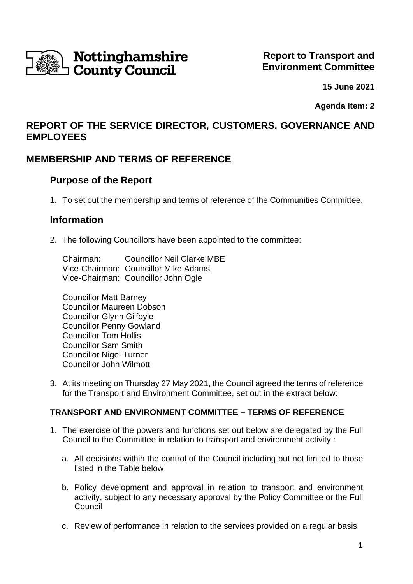

**15 June 2021**

**Agenda Item: 2**

# **REPORT OF THE SERVICE DIRECTOR, CUSTOMERS, GOVERNANCE AND EMPLOYEES**

# **MEMBERSHIP AND TERMS OF REFERENCE**

## **Purpose of the Report**

1. To set out the membership and terms of reference of the Communities Committee.

### **Information**

2. The following Councillors have been appointed to the committee:

Chairman: Councillor Neil Clarke MBE Vice-Chairman: Councillor Mike Adams Vice-Chairman: Councillor John Ogle

Councillor Matt Barney Councillor Maureen Dobson Councillor Glynn Gilfoyle Councillor Penny Gowland Councillor Tom Hollis Councillor Sam Smith Councillor Nigel Turner Councillor John Wilmott

3. At its meeting on Thursday 27 May 2021, the Council agreed the terms of reference for the Transport and Environment Committee, set out in the extract below:

### **TRANSPORT AND ENVIRONMENT COMMITTEE – TERMS OF REFERENCE**

- 1. The exercise of the powers and functions set out below are delegated by the Full Council to the Committee in relation to transport and environment activity :
	- a. All decisions within the control of the Council including but not limited to those listed in the Table below
	- b. Policy development and approval in relation to transport and environment activity, subject to any necessary approval by the Policy Committee or the Full Council
	- c. Review of performance in relation to the services provided on a regular basis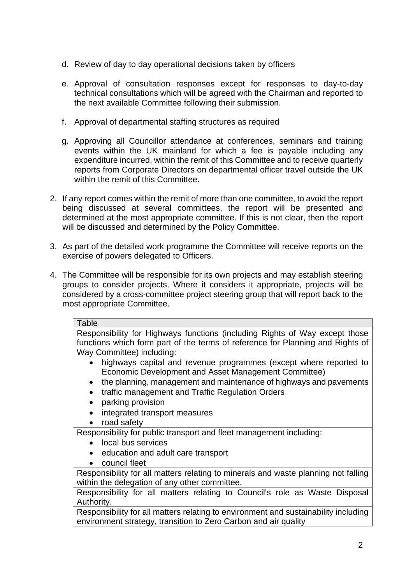- d. Review of day to day operational decisions taken by officers
- e. Approval of consultation responses except for responses to day-to-day technical consultations which will be agreed with the Chairman and reported to the next available Committee following their submission.
- f. Approval of departmental staffing structures as required
- g. Approving all Councillor attendance at conferences, seminars and training events within the UK mainland for which a fee is payable including any expenditure incurred, within the remit of this Committee and to receive quarterly reports from Corporate Directors on departmental officer travel outside the UK within the remit of this Committee.
- 2. If any report comes within the remit of more than one committee, to avoid the report being discussed at several committees, the report will be presented and determined at the most appropriate committee. If this is not clear, then the report will be discussed and determined by the Policy Committee.
- 3. As part of the detailed work programme the Committee will receive reports on the exercise of powers delegated to Officers.
- 4. The Committee will be responsible for its own projects and may establish steering groups to consider projects. Where it considers it appropriate, projects will be considered by a cross-committee project steering group that will report back to the most appropriate Committee.

#### Table

Responsibility for Highways functions (including Rights of Way except those functions which form part of the terms of reference for Planning and Rights of Way Committee) including:

- highways capital and revenue programmes (except where reported to Economic Development and Asset Management Committee)
- the planning, management and maintenance of highways and pavements
- traffic management and Traffic Regulation Orders
- parking provision
- integrated transport measures
- road safety

Responsibility for public transport and fleet management including:

- local bus services
- education and adult care transport
- council fleet

Responsibility for all matters relating to minerals and waste planning not falling within the delegation of any other committee.

Responsibility for all matters relating to Council's role as Waste Disposal Authority.

Responsibility for all matters relating to environment and sustainability including environment strategy, transition to Zero Carbon and air quality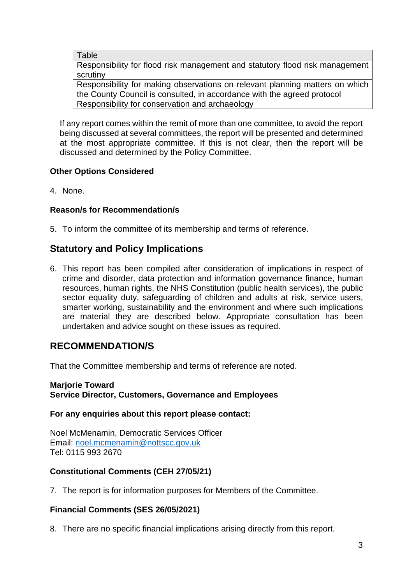Table

Responsibility for flood risk management and statutory flood risk management scrutiny

Responsibility for making observations on relevant planning matters on which the County Council is consulted, in accordance with the agreed protocol Responsibility for conservation and archaeology

If any report comes within the remit of more than one committee, to avoid the report being discussed at several committees, the report will be presented and determined at the most appropriate committee. If this is not clear, then the report will be discussed and determined by the Policy Committee.

### **Other Options Considered**

4. None.

### **Reason/s for Recommendation/s**

5. To inform the committee of its membership and terms of reference.

# **Statutory and Policy Implications**

6. This report has been compiled after consideration of implications in respect of crime and disorder, data protection and information governance finance, human resources, human rights, the NHS Constitution (public health services), the public sector equality duty, safeguarding of children and adults at risk, service users, smarter working, sustainability and the environment and where such implications are material they are described below. Appropriate consultation has been undertaken and advice sought on these issues as required.

# **RECOMMENDATION/S**

That the Committee membership and terms of reference are noted.

#### **Marjorie Toward Service Director, Customers, Governance and Employees**

#### **For any enquiries about this report please contact:**

Noel McMenamin, Democratic Services Officer Email: [noel.mcmenamin@nottscc.gov.uk](mailto:noel.mcmenamin@nottscc.gov.uk) Tel: 0115 993 2670

### **Constitutional Comments (CEH 27/05/21)**

7. The report is for information purposes for Members of the Committee.

### **Financial Comments (SES 26/05/2021)**

8. There are no specific financial implications arising directly from this report.